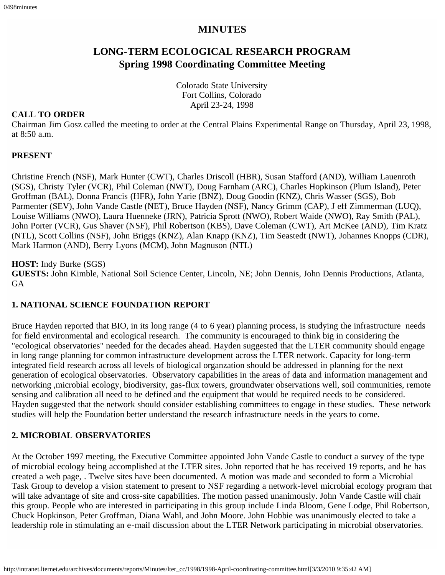## **MINUTES**

# **LONG-TERM ECOLOGICAL RESEARCH PROGRAM Spring 1998 Coordinating Committee Meeting**

Colorado State University Fort Collins, Colorado April 23-24, 1998

#### **CALL TO ORDER**

Chairman Jim Gosz called the meeting to order at the Central Plains Experimental Range on Thursday, April 23, 1998, at 8:50 a.m.

#### **PRESENT**

Christine French (NSF), Mark Hunter (CWT), Charles Driscoll (HBR), Susan Stafford (AND), William Lauenroth (SGS), Christy Tyler (VCR), Phil Coleman (NWT), Doug Farnham (ARC), Charles Hopkinson (Plum Island), Peter Groffman (BAL), Donna Francis (HFR), John Yarie (BNZ), Doug Goodin (KNZ), Chris Wasser (SGS), Bob Parmenter (SEV), John Vande Castle (NET), Bruce Hayden (NSF), Nancy Grimm (CAP), J eff Zimmerman (LUQ), Louise Williams (NWO), Laura Huenneke (JRN), Patricia Sprott (NWO), Robert Waide (NWO), Ray Smith (PAL), John Porter (VCR), Gus Shaver (NSF), Phil Robertson (KBS), Dave Coleman (CWT), Art McKee (AND), Tim Kratz (NTL), Scott Collins (NSF), John Briggs (KNZ), Alan Knapp (KNZ), Tim Seastedt (NWT), Johannes Knopps (CDR), Mark Harmon (AND), Berry Lyons (MCM), John Magnuson (NTL)

#### **HOST:** Indy Burke (SGS)

**GUESTS:** John Kimble, National Soil Science Center, Lincoln, NE; John Dennis, John Dennis Productions, Atlanta, GA

#### **1. NATIONAL SCIENCE FOUNDATION REPORT**

Bruce Hayden reported that BIO, in its long range (4 to 6 year) planning process, is studying the infrastructure needs for field environmental and ecological research. The community is encouraged to think big in considering the "ecological observatories" needed for the decades ahead. Hayden suggested that the LTER community should engage in long range planning for common infrastructure development across the LTER network. Capacity for long-term integrated field research across all levels of biological organzation should be addressed in planning for the next generation of ecological observatories. Observatory capabilities in the areas of data and information management and networking ,microbial ecology, biodiversity, gas-flux towers, groundwater observations well, soil communities, remote sensing and calibration all need to be defined and the equipment that would be required needs to be considered. Hayden suggested that the network should consider establishing committees to engage in these studies. These network studies will help the Foundation better understand the research infrastructure needs in the years to come.

#### **2. MICROBIAL OBSERVATORIES**

At the October 1997 meeting, the Executive Committee appointed John Vande Castle to conduct a survey of the type of microbial ecology being accomplished at the LTER sites. John reported that he has received 19 reports, and he has created a web page, . Twelve sites have been documented. A motion was made and seconded to form a Microbial Task Group to develop a vision statement to present to NSF regarding a network-level microbial ecology program that will take advantage of site and cross-site capabilities. The motion passed unanimously. John Vande Castle will chair this group. People who are interested in participating in this group include Linda Bloom, Gene Lodge, Phil Robertson, Chuck Hopkinson, Peter Groffman, Diana Wahl, and John Moore. John Hobbie was unanimously elected to take a leadership role in stimulating an e-mail discussion about the LTER Network participating in microbial observatories.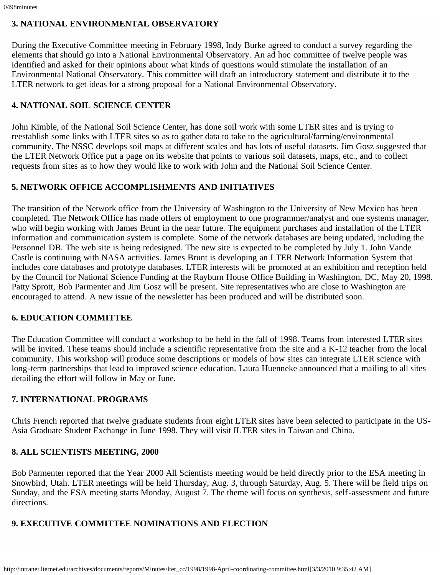## **3. NATIONAL ENVIRONMENTAL OBSERVATORY**

During the Executive Committee meeting in February 1998, Indy Burke agreed to conduct a survey regarding the elements that should go into a National Environmental Observatory. An ad hoc committee of twelve people was identified and asked for their opinions about what kinds of questions would stimulate the installation of an Environmental National Observatory. This committee will draft an introductory statement and distribute it to the LTER network to get ideas for a strong proposal for a National Environmental Observatory.

# **4. NATIONAL SOIL SCIENCE CENTER**

John Kimble, of the National Soil Science Center, has done soil work with some LTER sites and is trying to reestablish some links with LTER sites so as to gather data to take to the agricultural/farming/environmental community. The NSSC develops soil maps at different scales and has lots of useful datasets. Jim Gosz suggested that the LTER Network Office put a page on its website that points to various soil datasets, maps, etc., and to collect requests from sites as to how they would like to work with John and the National Soil Science Center.

# **5. NETWORK OFFICE ACCOMPLISHMENTS AND INITIATIVES**

The transition of the Network office from the University of Washington to the University of New Mexico has been completed. The Network Office has made offers of employment to one programmer/analyst and one systems manager, who will begin working with James Brunt in the near future. The equipment purchases and installation of the LTER information and communication system is complete. Some of the network databases are being updated, including the Personnel DB. The web site is being redesigned. The new site is expected to be completed by July 1. John Vande Castle is continuing with NASA activities. James Brunt is developing an LTER Network Information System that includes core databases and prototype databases. LTER interests will be promoted at an exhibition and reception held by the Council for National Science Funding at the Rayburn House Office Building in Washington, DC, May 20, 1998. Patty Sprott, Bob Parmenter and Jim Gosz will be present. Site representatives who are close to Washington are encouraged to attend. A new issue of the newsletter has been produced and will be distributed soon.

# **6. EDUCATION COMMITTEE**

The Education Committee will conduct a workshop to be held in the fall of 1998. Teams from interested LTER sites will be invited. These teams should include a scientific representative from the site and a K-12 teacher from the local community. This workshop will produce some descriptions or models of how sites can integrate LTER science with long-term partnerships that lead to improved science education. Laura Huenneke announced that a mailing to all sites detailing the effort will follow in May or June.

# **7. INTERNATIONAL PROGRAMS**

Chris French reported that twelve graduate students from eight LTER sites have been selected to participate in the US-Asia Graduate Student Exchange in June 1998. They will visit ILTER sites in Taiwan and China.

# **8. ALL SCIENTISTS MEETING, 2000**

Bob Parmenter reported that the Year 2000 All Scientists meeting would be held directly prior to the ESA meeting in Snowbird, Utah. LTER meetings will be held Thursday, Aug. 3, through Saturday, Aug. 5. There will be field trips on Sunday, and the ESA meeting starts Monday, August 7. The theme will focus on synthesis, self-assessment and future directions.

# **9. EXECUTIVE COMMITTEE NOMINATIONS AND ELECTION**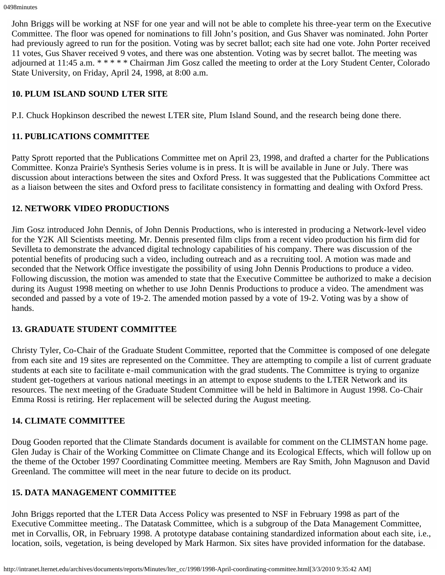John Briggs will be working at NSF for one year and will not be able to complete his three-year term on the Executive Committee. The floor was opened for nominations to fill John's position, and Gus Shaver was nominated. John Porter had previously agreed to run for the position. Voting was by secret ballot; each site had one vote. John Porter received 11 votes, Gus Shaver received 9 votes, and there was one abstention. Voting was by secret ballot. The meeting was adjourned at 11:45 a.m. \* \* \* \* \* Chairman Jim Gosz called the meeting to order at the Lory Student Center, Colorado State University, on Friday, April 24, 1998, at 8:00 a.m.

## **10. PLUM ISLAND SOUND LTER SITE**

P.I. Chuck Hopkinson described the newest LTER site, Plum Island Sound, and the research being done there.

## **11. PUBLICATIONS COMMITTEE**

Patty Sprott reported that the Publications Committee met on April 23, 1998, and drafted a charter for the Publications Committee. Konza Prairie's Synthesis Series volume is in press. It is will be available in June or July. There was discussion about interactions between the sites and Oxford Press. It was suggested that the Publications Committee act as a liaison between the sites and Oxford press to facilitate consistency in formatting and dealing with Oxford Press.

## **12. NETWORK VIDEO PRODUCTIONS**

Jim Gosz introduced John Dennis, of John Dennis Productions, who is interested in producing a Network-level video for the Y2K All Scientists meeting. Mr. Dennis presented film clips from a recent video production his firm did for Sevilleta to demonstrate the advanced digital technology capabilities of his company. There was discussion of the potential benefits of producing such a video, including outreach and as a recruiting tool. A motion was made and seconded that the Network Office investigate the possibility of using John Dennis Productions to produce a video. Following discussion, the motion was amended to state that the Executive Committee be authorized to make a decision during its August 1998 meeting on whether to use John Dennis Productions to produce a video. The amendment was seconded and passed by a vote of 19-2. The amended motion passed by a vote of 19-2. Voting was by a show of hands.

## **13. GRADUATE STUDENT COMMITTEE**

Christy Tyler, Co-Chair of the Graduate Student Committee, reported that the Committee is composed of one delegate from each site and 19 sites are represented on the Committee. They are attempting to compile a list of current graduate students at each site to facilitate e-mail communication with the grad students. The Committee is trying to organize student get-togethers at various national meetings in an attempt to expose students to the LTER Network and its resources. The next meeting of the Graduate Student Committee will be held in Baltimore in August 1998. Co-Chair Emma Rossi is retiring. Her replacement will be selected during the August meeting.

## **14. CLIMATE COMMITTEE**

Doug Gooden reported that the Climate Standards document is available for comment on the CLIMSTAN home page. Glen Juday is Chair of the Working Committee on Climate Change and its Ecological Effects, which will follow up on the theme of the October 1997 Coordinating Committee meeting. Members are Ray Smith, John Magnuson and David Greenland. The committee will meet in the near future to decide on its product.

## **15. DATA MANAGEMENT COMMITTEE**

John Briggs reported that the LTER Data Access Policy was presented to NSF in February 1998 as part of the Executive Committee meeting.. The Datatask Committee, which is a subgroup of the Data Management Committee, met in Corvallis, OR, in February 1998. A prototype database containing standardized information about each site, i.e., location, soils, vegetation, is being developed by Mark Harmon. Six sites have provided information for the database.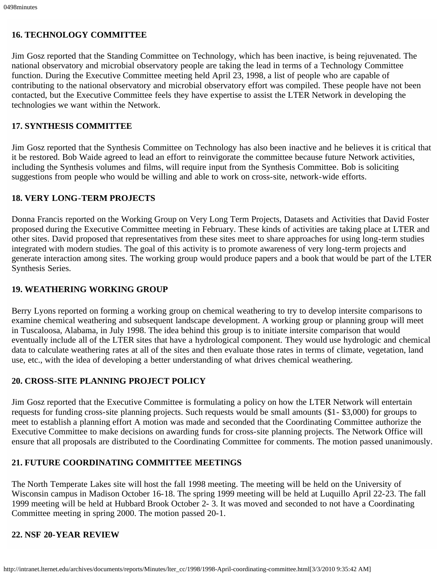### **16. TECHNOLOGY COMMITTEE**

Jim Gosz reported that the Standing Committee on Technology, which has been inactive, is being rejuvenated. The national observatory and microbial observatory people are taking the lead in terms of a Technology Committee function. During the Executive Committee meeting held April 23, 1998, a list of people who are capable of contributing to the national observatory and microbial observatory effort was compiled. These people have not been contacted, but the Executive Committee feels they have expertise to assist the LTER Network in developing the technologies we want within the Network.

### **17. SYNTHESIS COMMITTEE**

Jim Gosz reported that the Synthesis Committee on Technology has also been inactive and he believes it is critical that it be restored. Bob Waide agreed to lead an effort to reinvigorate the committee because future Network activities, including the Synthesis volumes and films, will require input from the Synthesis Committee. Bob is soliciting suggestions from people who would be willing and able to work on cross-site, network-wide efforts.

#### **18. VERY LONG-TERM PROJECTS**

Donna Francis reported on the Working Group on Very Long Term Projects, Datasets and Activities that David Foster proposed during the Executive Committee meeting in February. These kinds of activities are taking place at LTER and other sites. David proposed that representatives from these sites meet to share approaches for using long-term studies integrated with modern studies. The goal of this activity is to promote awareness of very long-term projects and generate interaction among sites. The working group would produce papers and a book that would be part of the LTER Synthesis Series.

#### **19. WEATHERING WORKING GROUP**

Berry Lyons reported on forming a working group on chemical weathering to try to develop intersite comparisons to examine chemical weathering and subsequent landscape development. A working group or planning group will meet in Tuscaloosa, Alabama, in July 1998. The idea behind this group is to initiate intersite comparison that would eventually include all of the LTER sites that have a hydrological component. They would use hydrologic and chemical data to calculate weathering rates at all of the sites and then evaluate those rates in terms of climate, vegetation, land use, etc., with the idea of developing a better understanding of what drives chemical weathering.

#### **20. CROSS-SITE PLANNING PROJECT POLICY**

Jim Gosz reported that the Executive Committee is formulating a policy on how the LTER Network will entertain requests for funding cross-site planning projects. Such requests would be small amounts (\$1- \$3,000) for groups to meet to establish a planning effort A motion was made and seconded that the Coordinating Committee authorize the Executive Committee to make decisions on awarding funds for cross-site planning projects. The Network Office will ensure that all proposals are distributed to the Coordinating Committee for comments. The motion passed unanimously.

#### **21. FUTURE COORDINATING COMMITTEE MEETINGS**

The North Temperate Lakes site will host the fall 1998 meeting. The meeting will be held on the University of Wisconsin campus in Madison October 16-18. The spring 1999 meeting will be held at Luquillo April 22-23. The fall 1999 meeting will be held at Hubbard Brook October 2- 3. It was moved and seconded to not have a Coordinating Committee meeting in spring 2000. The motion passed 20-1.

#### **22. NSF 20-YEAR REVIEW**